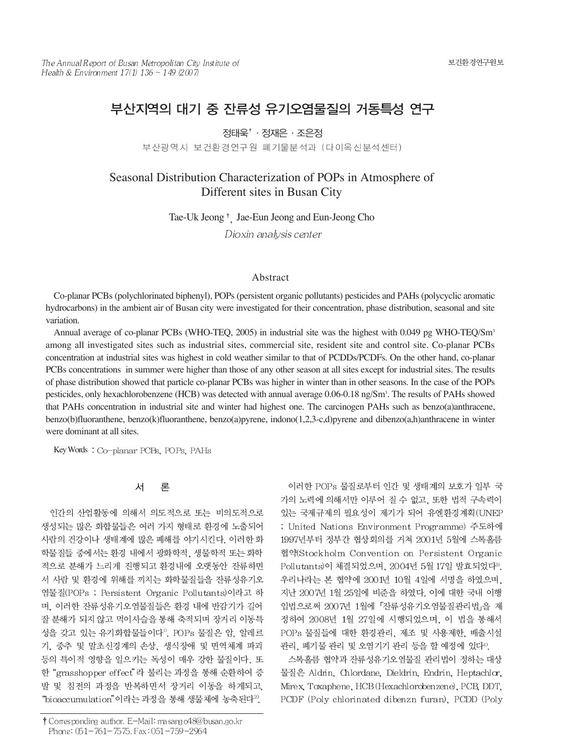# 부산지역의 대기 중 잔류성 유기오염물질의 거동특성 연구

정태욱<sup>†</sup> · 정재은 · 조우정

부산광역시 보건환경연구원 폐기물분석과 (다이옥신분석센터)

# Seasonal Distribution Characterization of POPs in Atmosphere of Different sites in Busan City

Tae-Uk Jeong <sup>†</sup> Jae-Eun Jeong and Eun-Jeong Cho

Dioxin analysis center

# Abstract

Co-planar PCBs (polychlorinated biphenyl), POPs (persistent organic pollutants) pesticides and PAHs (polycyclic aromatic hydrocarbons) in the ambient air of Busan city were investigated for their concentration, phase distribution, seasonal and site variation.

Annual average of co-planar PCBs (WHO-TEQ, 2005) in industrial site was the highest with 0.049 pg WHO-TEQ/Sm3 among all investigated sites such as industrial sites, commercial site, resident site and control site. Co-planar PCBs concentration at industrial sites was highest in cold weather similar to that of PCDDs/PCDFs. On the other hand, co-planar PCBs concentrations in summer were higher than those of any other season at all sites except for industrial sites. The results of phase distribution showed that particle co-planar PCBs was higher in winter than in other seasons. In the case of the POPs pesticides, only hexachlorobenzene (HCB) was detected with annual average 0.06-0.18 ng/Sm<sup>3</sup>. The results of PAHs showed that PAHS concentration in industrial site and winter had highest one. The carcinogen PAHs such as benzo(a)anthracene, benzo(b)fluoranthene, benzo(k)fluoranthene, benzo(a)pyrene, indono(1,2,3-c,d)pyrene and dibenzo(a,h)anthracene in winter were dominant at all sites.

Key Words: Co-planar PCBs, POPs, PAHs

#### 서 론

인간의 산업활동에 의해서 의도적으로 또는 비의도적으로 생성되는 많은 화합물들은 여러 가지 형태로 환경에 노출되어 사람의 건강이나 생태계에 많은 폐해를 야기시킨다. 이러한 화 학물질들 중에서는 환경 내에서 광화학적, 생물학적 또는 화학 적으로 분해가 느리게 진행되고 환경내에 오랫동안 잔류하면 서 사람 및 환경에 위해를 끼치는 화학물질들을 잔류성유기오 염물질(POPs ; Persistent Organic Pollutants)이라고 하 며, 이러한 잔류성유기오염물질들은 환경 내에 반감기가 길어 잘 분해가 되지 않고 먹이사슬을 통해 축적되며 장거리 이동특 성을 갖고 있는 유기화합물들이다<sup>1)</sup>. POPs 물질은 암, 알레르 기, 중추 및 말초신경계의 손상, 생식장애 및 면역체계 파괴 등의 특이적 영향을 일으키는 독성이 매우 강한 물질이다. 또 한 "grasshopper effect"라 불리는 과정을 통해 순환하여 증 발 및 침전의 과정을 반복하면서 장거리 이동을 하게되고, "bioaccumulation" 이라는 과정을 통해 생물체에 농축된다<sup>2</sup>.

† Corresponding author. E-Mail: masango48@busan.go.kr Phone: 051-761-7575, Fax: 051-759-2964

이러한 POPs 물질로부터 인간 및 생태계의 보호가 일부 국 가의 노력에 의해서만 이루어 질 수 없고, 또한 법적 구속력이 있는 국제규제의 필요성이 제기가 되어 유엔환경계획(UNEP ; United Nations Environment Programme) 주도하에 1997년부터 정부간 협상회의를 거쳐 2001년 5월에 스톡홀름 협약(Stockholm Convention on Persistent Organic Pollutants)이 체결되었으며, 2004년 5월 17일 발효되었다3). 우리나라는 본 협약에 2001년 10월 4일에 서명을 하였으며. 지난 2007년 1월 25일에 비준을 하였다. 이에 대한 국내 이행 입법으로써 2007년 1월에 「잔류성유기오염물질관리법」을 제 정하여 2008년 1월 27일에 시행되었으며, 이 법을 통해서 POPs 물질들에 대한 환경관리, 제조 및 사용제한, 배출시설 관리, 폐기물 관리 및 오염기기 관리 등을 할 예정에 있다4).

스톡홀름 협약과 잔류성유기오염물질 관리법이 정하는 대상 물질은 Aldrin, Chlordane, Dieldrin, Endrin, Heptachlor, Mirex, Toxaphene, HCB (Hexachlorobenzene), PCB, DDT, PCDF (Poly chlorinated dibenzn furan), PCDD (Poly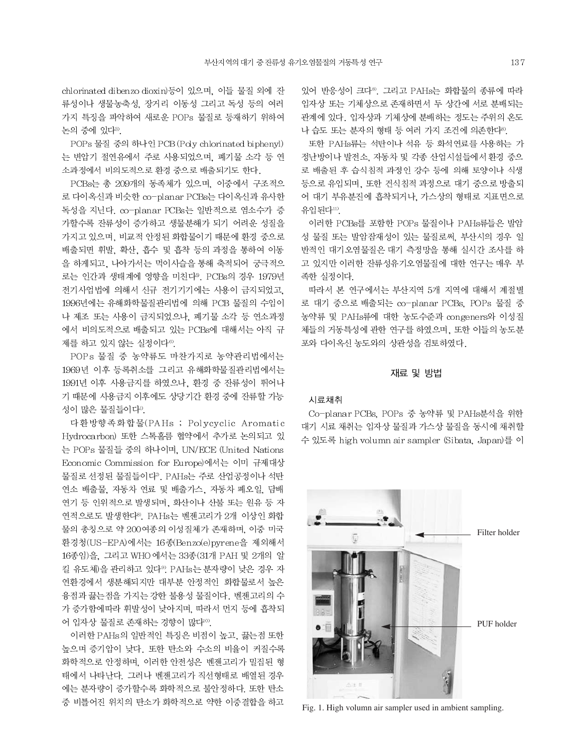chlorinated dibenzo dioxin)등이 있으며, 이들 물질 외에 잔 류성이나 생물농축성, 장거리 이동성 그리고 독성 등의 여러 가지 특징을 파악하여 새로운 POPs 물질로 등재하기 위하여 논의 중에 있다3).

POPs 물질 중의 하나인 PCB (Pdy chlorinated biphenyl) 는 변압기 절연유에서 주로 사용되었으며, 폐기물 소각 등 연 소과정에서 비의도적으로 환경 중으로 배출되기도 한다.

PCBs는 총 209개의 동족체가 있으며, 이중에서 구조적으 로 다이옥신과 비슷한 co-planar PCBs는 다이옥신과 유사한 독성을 지닌다. co-planar PCBs는 일반적으로 염소수가 증 가할수록 잔류성이 증가하고 생물분해가 되기 어려운 성질을 가지고 있으며, 비교적 안정된 화합물이기 때문에 환경 중으로 배출되면 휘발. 확산, 흡수 및 흡착 등의 과정을 통하여 이동 을 하게되고. 나아가서는 먹이사슬을 통해 축적되어 궁극적으 로는 인간과 생태계에 영향을 미친다<sup>9</sup>. PCBs의 경우 1979년 전기사업법에 의해서 신규 전기기기에는 사용이 금지되었고, 1996년에는 유해화학물질관리법에 의해 PCB 물질의 수입이 나 제조 또는 사용이 금지되었으나, 폐기물 소각 등 연소과정 에서 비의도적으로 배출되고 있는 PCBs에 대해서는 아직 규 제를 하고 있지 않는 실정이다<sup>6)</sup>.

POPs 물질 중 농약류도 마찬가지로 농약관리법에서는 1969년 이후 등록취소를 그리고 유해화학물질관리법에서는 1991년 이후 사용금지를 하였으나, 환경 중 잔류성이 뛰어나 기 때문에 사용금지 이후에도 상당기간 환경 중에 잔류할 가능 성이 많은 물질들이다".

다환방향족화합물(PAHs ; Polycyclic Aromatic Hydrocarbon) 또한 스톡홀름 협약에서 추가로 논의되고 있 는 POPs 물질들 중의 하나이며, UN/ECE (United Nations Economic Commission for Europe)에서는 이미 규제대상 물질로 선정된 물질들이다". PAHs는 주로 산업공정이나 석탄 연소 배출물, 자동차 연료 및 배출가스, 자동차 폐오일, 담배 연기 등 인위적으로 발생되며, 화산이나 산불 또는 원유 등 자 연적으로도 발생한다<sup>8)</sup>. PAHs는 벤젠고리가 2개 이상인 화합 물의 총칭으로 약 200여종의 이성질체가 존재하며, 이중 미국 환경청(US-EPA)에서는 16종(Benzo(e)pyrene을 제외해서 16종임)을, 그리고 WHO 에서는 33종(31개 PAH 및 2개의 알 킬 유도체)을 관리하고 있다<sup>9</sup>. PAHs는 분자량이 낮은 경우 자 연환경에서 생분해되지만 대부분 안정적인 화합물로서 높은 융점과 끓는점을 가지는 강한 불용성 물질이다. 벤젠고리의 수 가 증가함에따라 휘발성이 낮아지며, 따라서 먼지 등에 흡착되 어 입자상 물질로 존재하는 경향이 많다<sup>10</sup>.

이러한 PAHs의 일반적인 특징은 비점이 높고, 끓는점 또한 높으며 증기압이 낮다. 또한 탄소와 수소의 비율이 커질수록 화학적으로 안정하며, 이러한 안전성은 벤젠고리가 밀집된 형 태에서 나타난다. 그러나 벤젠고리가 직선형태로 배열된 경우 에는 분자량이 증가할수록 화학적으로 불안정하다. 또한 탄소 중 비틀어진 위치의 탄소가 화학적으로 약한 이중결합을 하고

있어 반응성이 크다<sup>8)</sup> 그리고 PAHs는 화합물의 종류에 따라 입자상 또는 기체상으로 존재하면서 두 상간에 서로 분배되는 관계에 있다. 입자상과 기체상에 분배하는 정도는 주위의 온도 나 습도 또는 분자의 형태 등 여러 가지 조건에 의존한다<sup>8</sup>.

또한 PAHs류는 석탄이나 석유 등 화석연료를 사용하는 가 정난방이나 발전소. 자동차 및 각종 산업시설들에서 환경 중으 로 배출된 후 습식침적 과정인 강수 등에 의해 토양이나 식생 등으로 유입되며, 또한 건식침적 과정으로 대기 중으로 방출되 어 대기 부유분진에 흡착되거나, 가스상의 형태로 지표면으로 유입되다!!)

이러한 PCBs를 포함한 POPs 물질이나 PAHs류들은 발암 성 물질 또는 발암잠재성이 있는 물질로써, 부산시의 경우 일 반적인 대기오염물질은 대기 측정망을 통해 실시간 조사를 하 고 있지만 이러한 잔류성유기오염물질에 대한 연구는 매우 부 족한 실정이다.

따라서 본 연구에서는 부산지역 5개 지역에 대해서 계절별 로 대기 중으로 배출되는 co-planar PCBs, POPs 물질 중 농약류 및 PAHs류에 대한 농도수준과 congeners와 이성질 체들의 거동특성에 관한 연구를 하였으며, 또한 이들의 농도분 포와 다이옥신 농도와의 상관성을 검토하였다.

### 재료 및 방법

#### 시료채취

Co-planar PCBs, POPs 중 농약류 및 PAHs분석을 위한 대기 시료 채취는 입자상 물질과 가스상 물질을 동시에 채취할 수 있도록 high volumn air sampler (Sibata, Japan)를 이



Fig. 1. High volumn air sampler used in ambient sampling.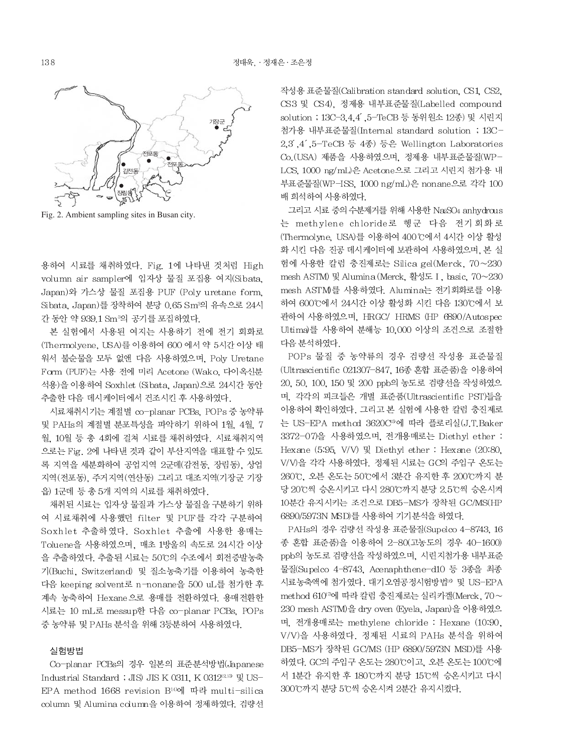

Fig. 2. Ambient sampling sites in Busan city.

용하여 시료를 채취하였다. Fig. 1에 나타낸 것처럼 High volumn air sampler에 입자상 물질 포집용 여지(Sibata. Japan)와 가스상 물질 포집용 PUF (Poly uretane form, Sibata, Japan)를 장착하여 분당 0.65 Sm3의 유속으로 24시 간 동안 약 939.1 Sm<sup>3</sup>의 공기를 포집하였다.

본 실험에서 사용된 여지는 사용하기 전에 전기 회화로 (Thermolyene, USA)를 이용하여 600 에서 약 5시간 이상 태 워서 불순물을 모두 없앤 다음 사용하였으며, Poly Uretane Form (PUF)는 사용 전에 미리 Acetone (Wako, 다이옥신분 석용)을 이용하여 Soxhlet (Sibata, Japan)으로 24시간 동안 추출한 다음 데시케이터에서 건조시킨 후 사용하였다.

시료채취시기는 계절별 co-planar PCBs, POPs 중 농약류 및 PAHs의 계절별 분포특성을 파악하기 위하여 1월, 4월, 7 월, 10월 등 총 4회에 걸쳐 시료를 채취하였다. 시료채취지역 으로는 Fig. 2에 나타낸 것과 같이 부산지역을 대표할 수 있도 록 지역을 세분화하여 공업지역 2군데(감전동, 장림동), 상업 지역(전포동), 주거지역(연산동) 그리고 대조지역(기장군 기장 읍) 1군데 등 총 5개 지역의 시료를 채취하였다.

채취된 시료는 입자상 물질과 가스상 물질을 구분하기 위하 여 시료채취에 사용했던 filter 및 PUF를 각각 구분하여 Soxhlet 추출하였다. Soxhlet 추출에 사용한 용매는 Toluene을 사용하였으며, 매초 1방울의 속도로 24시간 이상 을 추출하였다. 추출된 시료는 50℃의 수조에서 회전증발농축 기(Buchi, Switzerland) 및 질소농축기를 이용하여 농축한 다음 keeping solvent로 n-nonane을 500 uL를 첨가한 후 계속 농축하여 Hexane으로 용매를 전환하였다. 용매전환한 시료는 10 mL로 messup한 다음 co-planar PCBs, POPs 중 농약류 및 PAHs 분석을 위해 3등분하여 사용하였다.

# 실험방법

Co-planar PCBs의 경우 일본의 표준분석방법(Japanese Industrial Standard ; JIS) JIS K 0311, K 0312<sup>213</sup> 및 US-EPA method 1668 revision B<sup>14)</sup>에 따라 multi-silica column 및 Alumina column을 이용하여 정제하였다. 검량선

작성용 표준물질(Calibration standard solution, CS1, CS2, CS3 및 CS4), 정제용 내부표준물질(Labelled compound solution ; 13C-3, 4, 4 , 5-TeCB 등 동위원소 12종) 및 시린지 첨가용 내부표준물질(Internal standard solution ; 13C-2.3,4,5-TeCB 등 4종) 등은 Wellington Laboratories Co. (USA) 제품을 사용하였으며, 정제용 내부표준물질(WP-LCS, 1000 ng/mL)은 Acetone으로 그리고 시린지 첨가용 내 부표준물질(WP-ISS, 1000 ng/mL)은 nonane으로 각각 100 배 희석하여 사용하였다.

그리고 시료 중의 수분제거를 위해 사용한 Na2SO4 anhydrous 는 methylene chloride로 헹군 다음 전기회화로 (Thermolyne, USA)를 이용하여 400℃에서 4시간 이상 활성 화 시킨 다음 진공 데시케이터에 보관하여 사용하였으며, 본 실 험에 사용한 칼럼 충진제로는 Silica gel(Merck, 70~230 mesh ASTM) 및 Alumina (Merck, 활성도 I, basic, 70~230 mesh ASTM를 사용하였다. Alumina는 전기회화로를 이용 하여 600℃에서 24시간 이상 활성화 시킨 다음 130℃에서 보 관하여 사용하였으며, HRGC/ HRMS (HP 6890/Autospec Ultima)를 사용하여 분해능 10,000 이상의 조건으로 조절한 다음 분석하였다.

POPs 물질 중 농약류의 경우 검량선 작성용 표준물질 (Ultrascientific 021307-847, 16종 혼합 표준품)을 이용하여 20, 50, 100, 150 및 200 ppb의 농도로 검량선을 작성하였으 며, 각각의 피크들은 개별 표준품(Ultrascientific PST)들을 이용하여 확인하였다. 그리고 본 실험에 사용한 칼럼 충진제로 는 US-EPA method 3620C<sup>5</sup>에 따라 플로리실(J.T.Baker 3372-07)을 사용하였으며, 전개용매로는 Diethyl ether : Hexane (5:95, V/V) 및 Diethyl ether : Hexane (20:80, V/V)을 각각 사용하였다. 정제된 시료는 GC의 주입구 온도는 260℃, 오븐 온도는 50℃에서 3분간 유지한 후 200℃까지 분 당 20℃씩 승온시키고 다시 280℃까지 분당 2.5℃씩 승온시켜 10분간 유지시키는 조건으로 DB5-MS가 장착된 GC/MS(HP 6890/5973N MSD)를 사용하여 기기분석을 하였다.

PAHs의 경우 검량선 작성용 표준물질(Supelco 4-8743, 16 종 혼합 표준품)을 이용하여 2-80(고농도의 경우 40-1600) ppb의 농도로 검량선을 작성하였으며, 시린지첨가용 내부표준 물질(Supelco 4-8743, Acenaphthene-d10 등 3종을 최종 시료농축액에 첨가였다. 대기오염공정시험방법<sup>10</sup> 및 US-EPA method 610<sup>7</sup>에 따라 칼럼 충진제로는 실리카겔(Merck, 70~ 230 mesh ASTM)을 dry oven (Eyela, Japan)을 이용하였으 며, 전개용매로는 methylene chloride : Hexane (10:90, V/V)을 사용하였다. 정제된 시료의 PAHs 분석을 위하여 DB5-MS가 장착된 GC/MS (HP 6890/5973N MSD)를 사용 하였다. GC의 주입구 온도는 280℃이고, 오븐 온도는 100℃에 서 1분간 유지한 후 180℃까지 분당 15℃씩 승온시키고 다시 300℃까지 분당 5℃씩 승온시켜 2분간 유지시켰다.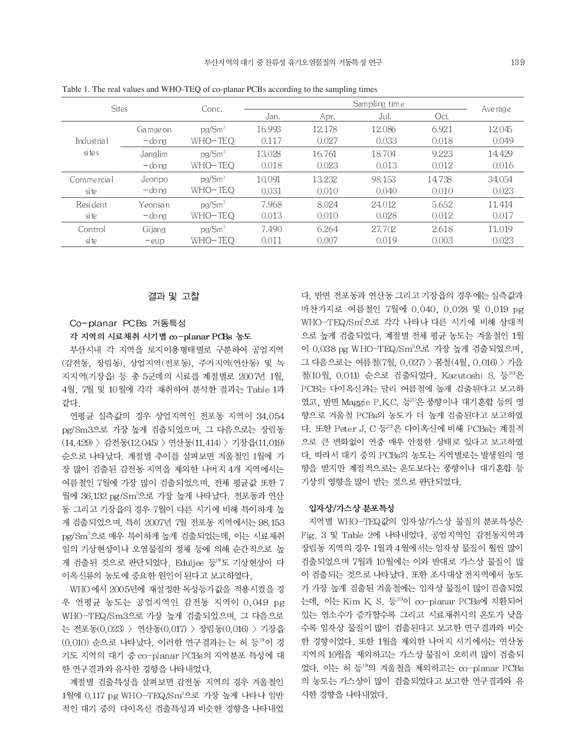|           |                    |        |        |        |               | Ave rage |  |
|-----------|--------------------|--------|--------|--------|---------------|----------|--|
|           |                    | Jan.   | Apr.   | Jul.   | Oct.          |          |  |
| Gamge on  | pg/Sm <sup>3</sup> | 16.993 | 12.178 | 12.086 | 6.921         | 12.045   |  |
| — do ng   | WHO-TEQ            | 0.117  | 0.027  | 0.033  | 0.018         | 0.049    |  |
| Janglim   | pg/Sm <sup>3</sup> | 13.028 | 16.761 | 18.704 | 9.223         | 14.429   |  |
| $-do$ ng  | WHO-TEQ            | 0.018  | 0.023  | 0.013  | 0.012         | 0.016    |  |
| Jeonpo    | pg/Sm <sup>3</sup> | 10.091 | 13.232 | 98.153 | 14.738        | 34.054   |  |
| — do na   | WHO-TEQ            | 0.031  | 0.010  | 0.040  | 0.010         | 0.023    |  |
| Yeonsan   | pg/Sm <sup>3</sup> | 7.968  | 8.024  | 24.012 | 5.652         | 11.414   |  |
| $-d$ o ng | WHO-TEO            | 0.013  | 0.010  | 0.028  | 0.012         | 0.017    |  |
| Gijang    | pg/Sm <sup>3</sup> | 7.490  | 6.264  | 27.702 | 2.618         | 11.019   |  |
| $-eup$    | WHO-TEO            | 0.011  | 0.007  | 0.019  | 0.003         | 0.023    |  |
|           | <b>Sites</b>       | Conc.  |        |        | Sampling time |          |  |

Table 1. The real values and WHO-TEQ of co-planar PCBs according to the sampling times

### 결과 및 고찰

# Co-planar PCBs 거동특성

### 각 지역의 시료채취 시기별 co-planar PCBs 농도

부산시내 각 지역을 토지이용형태별로 구분하여 공업지역 (감전동, 장림동), 상업지역(전포동), 주거지역(연산동) 및 녹 지지역(기장읍) 등 총 5군데의 시료를 계절별로 2007년 1월. 4월, 7월 및 10월에 각각 채취하여 분석한 결과는 Table 1과 같다.

연평균 실측값의 경우 상업지역인 전포동 지역이 34.054 pg/Sm3으로 가장 높게 검출되었으며, 그 다음으로는 장림동 (14.429) > 감전동(12.045) > 연산동(11.414) > 기장읍(11.019) 순으로 나타났다. 계절별 추이를 살펴보면 겨울철인 1월에 가 장 많이 검출된 감전동 지역을 제외한 나머지 4개 지역에서는 여름철인 7월에 가장 많이 검출되었으며, 전체 평균값 또한 7 월에 36.132 pg/Sm3으로 가장 높게 나타났다. 전포동과 연산 동 그리고 기장읍의 경우 7월이 다른 시기에 비해 특이하게 높 게 검출되었으며, 특히 2007년 7월 전포동 지역에서는 98.153 pg/Sm3으로 매우 특이하게 높게 검출되었는데, 이는 시료채취 일의 기상현상이나 오염물질의 정체 등에 의해 순간적으로 높 게 검출된 것으로 판단되었다. Eduljee 등 의도 기상현상이 다 이옥신류의 농도에 중요한 원인이 된다고 보고하였다.

WHO 에서 2005년에 재설정한 독성등가값을 적용시켰을 경 우 연평균 농도는 공업지역인 감전동 지역이 0.049 pg WHO-TEQ/Sm3으로 가장 높게 검출되었으며, 그 다음으로 는 전포동(0.023) > 연산동(0.017) > 장림동(0.016) > 기장읍 (0.010) 순으로 나타났다. 이러한 연구결과는 는 허 등19이 경 기도 지역의 대기 중 co-planar PCBs의 지역분포 특성에 대 한 연구결과와 유사한 경향을 나타내었다.

계절별 검출특성을 살펴보면 감전동 지역의 경우 겨울철인 1월에 0.117 pg WHO-TEQ/Sm3으로 가장 높게 나타나 일반 적인 대기 중의 다이옥신 검출특성과 비슷한 경향을 나타내었 다. 반면 전포동과 연산동 그리고 기장읍의 경우에는 실측값과 마찬가지로 여름철인 7월에 0.040, 0.028 및 0.019 pg WHO-TEQ/Sm3으로 각각 나타나 다른 시기에 비해 상대적 으로 높게 검출되었다. 계절별 전체 평균 농도는 겨울철인 1월 이 0.038 pg WHO-TEQ/Sm3으로 가장 높게 검출되었으며, 그 다음으로는 여름철(7월, 0.027) > 봄철(4월, 0.016) > 가을 철(10월, 0.011) 순으로 검출되었다. Kazutoshi S. 등<sup>20</sup>은 PCB는 다이옥신과는 달리 여름철에 높게 검출된다고 보고하 였고, 반면 Maggie P.K.C. 등212은 풍향이나 대기혼합 등의 영 향으로 겨울철 PCBs의 농도가 더 높게 검출된다고 보고하였 다. 또한 Peter J. C 등22은 다이옥신에 비해 PCBs는 계절적 으로 큰 변화없이 연중 매우 안정한 상태로 있다고 보고하였 다. 따라서 대기 중의 PCBs의 농도는 지역별로는 발생원의 영 향을 받지만 계절적으로는 온도보다는 풍향이나 대기혼합 등 기상의 영향을 많이 받는 것으로 판단되었다.

#### 입자상/가스상 분포특성

지역별 WHO-TEQ값의 입자상/가스상 물질의 분포특성은 Fig. 3 및 Table 2에 나타내었다. 공업지역인 감전동지역과 장림동 지역의 경우 1월과 4월에서는 입자상 물질이 훨씬 많이 검출되었으며 7월과 10월에는 이와 반대로 가스상 물질이 많 이 검출되는 것으로 나타났다. 또한 조사대상 전지역에서 농도 가 가장 높게 검출된 겨울철에는 입자상 물질이 많이 검출되었 는데, 이는 Kim K, S, 등<sup>23</sup>이 co-planar PCBs에 치환되어 있는 염소수가 증가할수록 그리고 시료채취시의 온도가 낮을 수록 입자상 물질이 많이 검출된다고 보고한 연구결과와 비슷 한 경향이었다. 또한 1월을 제외한 나머지 시기에서는 연산동 지역의 10월을 제외하고는 가스상 물질이 오히려 많이 검출되 었다. 이는 허 등<sup>19</sup>의 겨울철을 제외하고는 co-planar PCBs 의 농도는 가스상이 많이 검출되었다고 보고한 연구결과와 유 사한 경향을 나타내었다.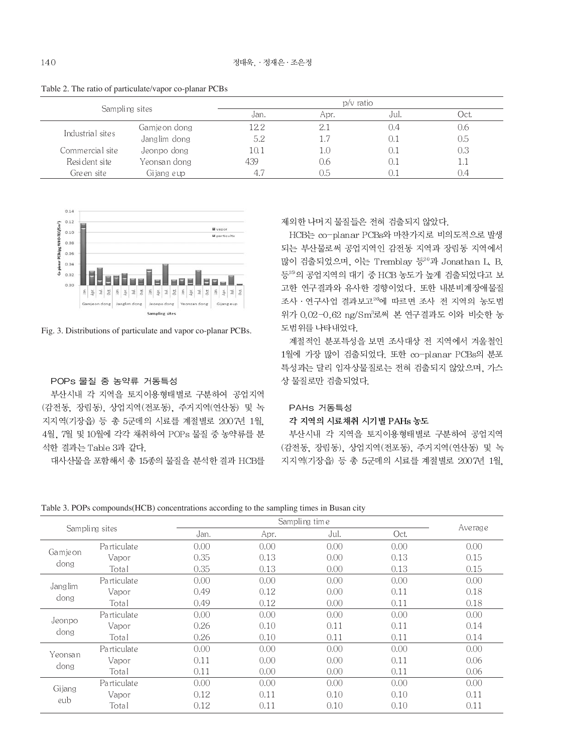|  | Table 2. The ratio of particulate/vapor co-planar PCBs |  |
|--|--------------------------------------------------------|--|
|--|--------------------------------------------------------|--|

|                  | Sampling sites |      | $p/v$ ratio |      |      |  |  |
|------------------|----------------|------|-------------|------|------|--|--|
|                  |                | Jan. | Apr.        | Jul. | Oct. |  |  |
| Industrial sites | Gamje on dong  | 12.2 |             | 0.4  | U.6  |  |  |
|                  | Janglim dong   | 5.2  | 1.7         |      | 0.5  |  |  |
| Commercial site  | Jeonpo dong    | 10.1 | l.U         | O.   | 0.3  |  |  |
| Resident site    | Yeonsan dong   | 439  | 0.6         |      | 1.1  |  |  |
| Green site       | Gijang e up    |      | 0.5         |      | U.4  |  |  |



Fig. 3. Distributions of particulate and vapor co-planar PCBs.

# POPs 물질 중 농약류 거동특성

부산시내 각 지역을 토지이용형태별로 구분하여 공업지역 (감전동, 장림동), 상업지역(전포동), 주거지역(연산동) 및 녹 지지역(기장읍) 등 총 5군데의 시료를 계절별로 2007년 1월. 4월, 7월 및 10월에 각각 채취하여 POPs 물질 중 농약류를 분 석한 결과는 Table 3과 같다.

대사산물을 포함해서 총 15종의 물질을 분석한 결과 HCB를

제외한 나머지 물질들은 전혀 검출되지 않았다.

HCB는 co-planar PCBs와 마찬가지로 비의도적으로 발생 되는 부산물로써 공업지역인 감전동 지역과 장림동 지역에서 많이 검출되었으며, 이는 Tremblay 등<sup>24</sup>과 Jonathan L. B. 등25)의 공업지역의 대기 중 HCB 농도가 높게 검출되었다고 보 고한 연구결과와 유사한 경향이었다. 또한 내분비계장애물질 조사 · 연구사업 결과보고<sup>26</sup>에 따르면 조사 전 지역의 농도범 위가 0.02-0.62 ng/Sm3로써 본 연구결과도 이와 비슷한 농 도범위를 나타내었다.

계절적인 분포특성을 보면 조사대상 전 지역에서 겨울철인 1월에 가장 많이 검출되었다. 또한 co-planar PCBs의 분포 특성과는 달리 입자상물질로는 전혀 검출되지 않았으며, 가스 상 물질로만 검출되었다.

# PAHs 거동특성

#### 각 지역의 시료채취 시기별 PAHs 농도

부산시내 각 지역을 토지이용형태별로 구분하여 공업지역 (감전동, 장림동), 상업지역(전포동), 주거지역(연산동) 및 녹 지지역(기장읍) 등 총 5군데의 시료를 계절별로 2007년 1월,

|                 |                |      |      | Sampling time |      |           |
|-----------------|----------------|------|------|---------------|------|-----------|
|                 | Sampling sites | Jan. | Apr. | Jul.          | Oct. | Ave rag e |
|                 | Particulate    | 0.00 | 0.00 | 0.00          | 0.00 | 0.00      |
| Gamjeon<br>dong | Vapor          | 0.35 | 0.13 | 0.00          | 0.13 | 0.15      |
|                 | Total          | 0.35 | 0.13 | 0.00          | 0.13 | 0.15      |
| Janglim<br>dong | Particulate    | 0.00 | 0.00 | 0.00          | 0.00 | 0.00      |
|                 | Vapor          | 0.49 | 0.12 | 0.00          | 0.11 | 0.18      |
|                 | Total          | 0.49 | 0.12 | 0.00          | 0.11 | 0.18      |
|                 | Particulate    | 0.00 | 0.00 | 0.00          | 0.00 | 0.00      |
| Jeonpo<br>dong  | Vapor          | 0.26 | 0.10 | 0.11          | 0.11 | 0.14      |
|                 | Total          | 0.26 | 0.10 | 0.11          | 0.11 | 0.14      |
| Yeonsan         | Particulate    | 0.00 | 0.00 | 0.00          | 0.00 | 0.00      |
| dong            | Vapor          | 0.11 | 0.00 | 0.00          | 0.11 | 0.06      |
|                 | Total          | 0.11 | 0.00 | 0.00          | 0.11 | 0.06      |
| Gijang          | Particulate    | 0.00 | 0.00 | 0.00          | 0.00 | 0.00      |
|                 | Vapor          | 0.12 | 0.11 | 0.10          | 0.10 | 0.11      |
| eub             | Total          | 0.12 | 0.11 | 0.10          | 0.10 | 0.11      |

Table 3. POPs compounds (HCB) concentrations according to the sampling times in Busan city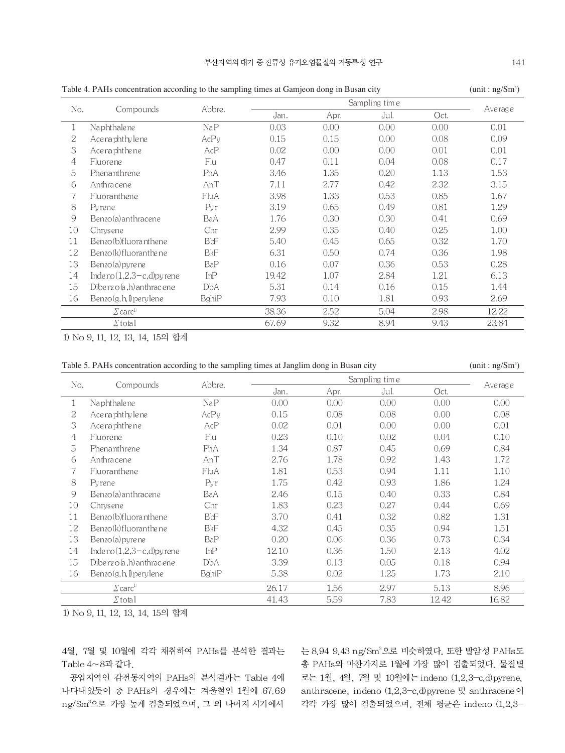| Table 4. PAHs concentration according to the sampling times at Gamjeon dong in Busan city<br>(unit:ng/Sm <sup>3</sup> ) |                                            |            |       |      |               |      |          |  |  |
|-------------------------------------------------------------------------------------------------------------------------|--------------------------------------------|------------|-------|------|---------------|------|----------|--|--|
|                                                                                                                         |                                            |            |       |      | Sampling time |      |          |  |  |
| No.                                                                                                                     | Compounds                                  | Abbre.     | Jan.  | Apr. | Jul.          | Oct. | Ave rage |  |  |
| 1                                                                                                                       | Naphthalene                                | NaP        | 0.03  | 0.00 | 0.00          | 0.00 | 0.01     |  |  |
| 2                                                                                                                       | Ace na phthy le ne                         | AcPy       | 0.15  | 0.15 | 0.00          | 0.08 | 0.09     |  |  |
| 3                                                                                                                       | Ace na phthe ne                            | AcP        | 0.02  | 0.00 | 0.00          | 0.01 | 0.01     |  |  |
| 4                                                                                                                       | Fluore ne                                  | Flu        | 0.47  | 0.11 | 0.04          | 0.08 | 0.17     |  |  |
| 5                                                                                                                       | Phenanthrene                               | PhA        | 3.46  | 1.35 | 0.20          | 1.13 | 1.53     |  |  |
| 6                                                                                                                       | Anthracene                                 | AnT        | 7.11  | 2.77 | 0.42          | 2.32 | 3.15     |  |  |
|                                                                                                                         | <b>Fluoranthene</b>                        | FluA       | 3.98  | 1.33 | 0.53          | 0.85 | 1.67     |  |  |
| 8                                                                                                                       | Pyrene                                     | Pyr        | 3.19  | 0.65 | 0.49          | 0.81 | 1.29     |  |  |
| 9                                                                                                                       | Benzo(a) anthracene                        | BaA        | 1.76  | 0.30 | 0.30          | 0.41 | 0.69     |  |  |
| 10                                                                                                                      | Chrysene                                   | Chr        | 2.99  | 0.35 | 0.40          | 0.25 | 1.00     |  |  |
| 11                                                                                                                      | Benzo(b)fluoranthene                       | <b>BbF</b> | 5.40  | 0.45 | 0.65          | 0.32 | 1.70     |  |  |
| 12                                                                                                                      | Benzo(k) fluoranthe ne                     | BkF        | 6.31  | 0.50 | 0.74          | 0.36 | 1.98     |  |  |
| 13                                                                                                                      | Benzo(a) pyrene                            | BaP        | 0.16  | 0.07 | 0.36          | 0.53 | 0.28     |  |  |
| 14                                                                                                                      | Indeno $(1,2,3-c,d)$ pyrene                | InP        | 19.42 | 1.07 | 2.84          | 1.21 | 6.13     |  |  |
| 15                                                                                                                      | Dibenzo $(a,h)$ anthracene                 | DbA        | 5.31  | 0.14 | 0.16          | 0.15 | 1.44     |  |  |
| 16                                                                                                                      | $\text{Benzo}(g, h, \mathbb{I})$ pery lene | BghiP      | 7.93  | 0.10 | 1.81          | 0.93 | 2.69     |  |  |
|                                                                                                                         | $\varSigma$ carc <sup>1)</sup>             |            | 38.36 | 2.52 | 5.04          | 2.98 | 12.22    |  |  |

9.32

8.94

 $9.43$ 

67.69

 $\Sigma$ total 1) No 9, 11, 12, 13, 14, 15의 합계

|  | Table 5. PAHs concentration according to the sampling times at Janglim dong in Busan city |  |  |  |  |
|--|-------------------------------------------------------------------------------------------|--|--|--|--|
|  |                                                                                           |  |  |  |  |

 $(unit:ng/Sm<sup>3</sup>)$ 

23.84

| No. | Compounds                                  | Abbre.     |       |      | Sampling time |       | Ave rage |
|-----|--------------------------------------------|------------|-------|------|---------------|-------|----------|
|     |                                            |            | Jan.  | Apr. | Jul.          | Oct.  |          |
|     | Naphthalene                                | NaP        | 0.00  | 0.00 | 0.00          | 0.00  | 0.00     |
| 2   | Ace na phthy le ne                         | AcPy       | 0.15  | 0.08 | 0.08          | 0.00  | 0.08     |
| 3   | Ace na phthe ne                            | AcP        | 0.02  | 0.01 | 0.00          | 0.00  | 0.01     |
| 4   | Fluore ne                                  | Flu        | 0.23  | 0.10 | 0.02          | 0.04  | 0.10     |
| 5   | Phenanthrene                               | PhA        | 1.34  | 0.87 | 0.45          | 0.69  | 0.84     |
| 6   | Anthracene                                 | AnT        | 2.76  | 1.78 | 0.92          | 1.43  | 1.72     |
| 7   | Fluoranthene                               | FluA       | 1.81  | 0.53 | 0.94          | 1.11  | 1.10     |
| 8   | Pyrene                                     | Pvr        | 1.75  | 0.42 | 0.93          | 1.86  | 1.24     |
| 9   | Benzo(a) anthracene                        | BaA        | 2.46  | 0.15 | 0.40          | 0.33  | 0.84     |
| 10  | Chrysene                                   | Chr        | 1.83  | 0.23 | 0.27          | 0.44  | 0.69     |
| 11  | Benzo(b)fluoranthene                       | <b>BbF</b> | 3.70  | 0.41 | 0.32          | 0.82  | 1.31     |
| 12  | Benzo(k)fluoranthene                       | <b>BkF</b> | 4.32  | 0.45 | 0.35          | 0.94  | 1.51     |
| 13  | Benzo(a) pyrene                            | BaP        | 0.20  | 0.06 | 0.36          | 0.73  | 0.34     |
| 14  | Indeno $(1,2,3-c,d)$ pyrene                | InP        | 1210  | 0.36 | 1.50          | 2.13  | 4.02     |
| 15  | Dibe $nz$ o $(a,h)$ an thracene            | DbA        | 3.39  | 0.13 | 0.05          | 0.18  | 0.94     |
| 16  | $\text{Benzo}(g, h, \mathbb{I})$ pery lene | BghiP      | 5.38  | 0.02 | 1.25          | 1.73  | 2.10     |
|     | $\sum$ carc <sup>1</sup>                   |            | 26.17 | 1.56 | 2.97          | 5.13  | 8.96     |
|     | $\Sigma$ total                             |            | 41.43 | 5.59 | 7.83          | 12.42 | 16.82    |

1) No 9, 11, 12, 13, 14, 15의 합계

4월, 7월 및 10월에 각각 채취하여 PAHs를 분석한 결과는 Table 4~8과 같다.

공업지역인 감전동지역의 PAHs의 분석결과는 Table 4에 나타내었듯이 총 PAHs의 경우에는 겨울철인 1월에 67.69 ng/Sm3으로 가장 높게 검출되었으며, 그 외 나머지 시기에서

는 8.94 9.43 ng/Sm3으로 비슷하였다. 또한 발암성 PAHs도 총 PAHs와 마찬가지로 1월에 가장 많이 검출되었다. 물질별 로는 1월, 4월, 7월 및 10월에는 indeno (1,2,3-c,d)pyrene, anthracene, indeno (1,2,3-c,d)pyrene 및 anthracene이 각각 가장 많이 검출되었으며, 전체 평균은 indeno (1,2,3-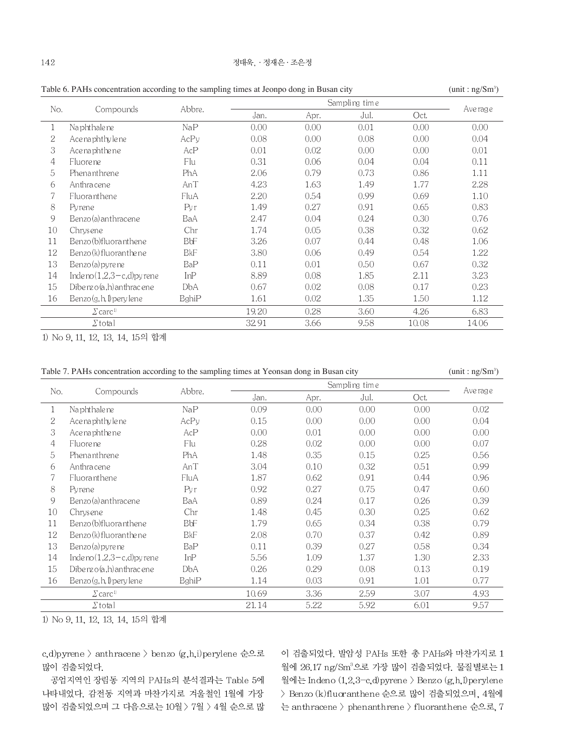| Table 6. PAHs concentration according to the sampling times at Jeonpo dong in Busan city<br>(unit:ng/Sm <sup>3</sup> ) |                                            |        |       |      |               |       |          |  |
|------------------------------------------------------------------------------------------------------------------------|--------------------------------------------|--------|-------|------|---------------|-------|----------|--|
|                                                                                                                        |                                            |        |       |      | Sampling time |       | Ave rage |  |
| No.                                                                                                                    | Compounds                                  | Abbre. | Jan.  | Apr. | Jul.          | Oct.  |          |  |
| 1                                                                                                                      | Naphthalene                                | NaP    | 0.00  | 0.00 | 0.01          | 0.00  | 0.00     |  |
| 2                                                                                                                      | Ace naphthy le ne                          | AcPy   | 0.08  | 0.00 | 0.08          | 0.00  | 0.04     |  |
| 3                                                                                                                      | Acenaphthene                               | AcP    | 0.01  | 0.02 | 0.00          | 0.00  | 0.01     |  |
| 4                                                                                                                      | <b>Fluore</b> ne                           | Flu    | 0.31  | 0.06 | 0.04          | 0.04  | 0.11     |  |
| 5                                                                                                                      | Phenanthrene                               | PhA    | 2.06  | 0.79 | 0.73          | 0.86  | 1.11     |  |
| 6                                                                                                                      | Anthra cene                                | AnT    | 4.23  | 1.63 | 1.49          | 1.77  | 2.28     |  |
| 7                                                                                                                      | Fluoranthene                               | FluA   | 2.20  | 0.54 | 0.99          | 0.69  | 1.10     |  |
| 8                                                                                                                      | Pyrene                                     | Pvr    | 1.49  | 0.27 | 0.91          | 0.65  | 0.83     |  |
| 9                                                                                                                      | Benzo(a) anthracene                        | BaA    | 2.47  | 0.04 | 0.24          | 0.30  | 0.76     |  |
| 10                                                                                                                     | Chrysene                                   | Chr    | 1.74  | 0.05 | 0.38          | 0.32  | 0.62     |  |
| 11                                                                                                                     | Benzo (b)fluoranthene                      | ВbF    | 3.26  | 0.07 | 0.44          | 0.48  | 1.06     |  |
| 12                                                                                                                     | Benzo(k)fluoranthene                       | BkF    | 3.80  | 0.06 | 0.49          | 0.54  | 1.22     |  |
| 13                                                                                                                     | Benzo(a) pyre ne                           | BaP    | 0.11  | 0.01 | 0.50          | 0.67  | 0.32     |  |
| 14                                                                                                                     | Indeno $(1,2,3-c,d)$ pyrene                | InP    | 8.89  | 0.08 | 1.85          | 2.11  | 3.23     |  |
| 15                                                                                                                     | Dibenz $o(a, h)$ an thracene               | DbA    | 0.67  | 0.02 | 0.08          | 0.17  | 0.23     |  |
| 16                                                                                                                     | $\text{Benzo}(g, h, \mathbb{I})$ pery lene | BghiP  | 1.61  | 0.02 | 1.35          | 1.50  | 1.12     |  |
|                                                                                                                        | $\varSigma$ carc <sup>1)</sup>             |        | 19.20 | 0.28 | 3.60          | 4.26  | 6.83     |  |
|                                                                                                                        | $\Sigma$ total                             |        | 32.91 | 3.66 | 9.58          | 10.08 | 14.06    |  |

Table 6. PAHs concentration according to the sampling times at Jeonpo dong in Busan city

1) No 9, 11, 12, 13, 14, 15의 합계

Table 7. PAHs concentration according to the sampling times at Yeonsan dong in Busan city

 $(unit:ng/Sm<sup>3</sup>)$ 

|         |                                | Abbre.<br>Compounds |       | Sampling time |      |      |          |  |
|---------|--------------------------------|---------------------|-------|---------------|------|------|----------|--|
| No.     |                                |                     | Jan.  | Apr.          | Jul. | Oct. | Ave rage |  |
| $\perp$ | Naphthalene                    | NaP                 | 0.09  | 0.00          | 0.00 | 0.00 | 0.02     |  |
| 2       | Acenaphthylene                 | AcPy                | 0.15  | 0.00          | 0.00 | 0.00 | 0.04     |  |
| 3       | Acenaphthene                   | AcP                 | 0.00  | 0.01          | 0.00 | 0.00 | 0.00     |  |
| 4       | <b>Fluorene</b>                | Flu                 | 0.28  | 0.02          | 0.00 | 0.00 | 0.07     |  |
| 5       | Phenanthrene                   | PhA                 | 1.48  | 0.35          | 0.15 | 0.25 | 0.56     |  |
| 6       | Anthracene                     | AnT                 | 3.04  | 0.10          | 0.32 | 0.51 | 0.99     |  |
| 7       | <b>Fluoranthene</b>            | FluA                | 1.87  | 0.62          | 0.91 | 0.44 | 0.96     |  |
| 8       | Pyrene                         | Pvr                 | 0.92  | 0.27          | 0.75 | 0.47 | 0.60     |  |
| 9       | Benzo(a) anthracene            | BaA                 | 0.89  | 0.24          | 0.17 | 0.26 | 0.39     |  |
| 10      | Chrys en e                     | Chr                 | 1.48  | 0.45          | 0.30 | 0.25 | 0.62     |  |
| 11      | Benzo (b)fluoranthene          | BbF                 | 1.79  | 0.65          | 0.34 | 0.38 | 0.79     |  |
| 12      | Benzo(k)fluoranthene           | <b>B</b> kF         | 2.08  | 0.70          | 0.37 | 0.42 | 0.89     |  |
| 13      | Benzo(a) pyre ne               | BaP                 | 0.11  | 0.39          | 0.27 | 0.58 | 0.34     |  |
| 14      | Inde no $(1,2,3-c,d)$ pyrene   | InP                 | 5.56  | 1.09          | 1.37 | 1.30 | 2.33     |  |
| 15      | Dibenz $o(a, h)$ an thracene   | DbA                 | 0.26  | 0.29          | 0.08 | 0.13 | 0.19     |  |
| 16      | Benzo(g, h, I) pery lene       | BghiP               | 1.14  | 0.03          | 0.91 | 1.01 | 0.77     |  |
|         | $\varSigma$ carc <sup>1)</sup> |                     | 10.69 | 3.36          | 2.59 | 3.07 | 4.93     |  |
|         | $\Sigma$ total                 |                     | 21.14 | 5.22          | 5.92 | 6.01 | 9.57     |  |

1) No 9, 11, 12, 13, 14, 15의 합계

c,d)pyrene > anthracene > benzo (g,h,i)perylene 순으로 많이 검출되었다.

공업지역인 장림동 지역의 PAHs의 분석결과는 Table 5에 나타내었다. 감전동 지역과 마찬가지로 겨울철인 1월에 가장 많이 검출되었으며 그 다음으로는 10월 > 7월 > 4월 순으로 많

이 검출되었다. 발암성 PAHs 또한 총 PAHs와 마찬가지로 1 월에 26.17 ng/Sm3으로 가장 많이 검출되었다. 물질별로는 1 월에는 Indeno (1,2,3-c,d)pyrene > Benzo (g,h,l)perylene > Benzo (k)fluoranthene 순으로 많이 검출되었으며, 4월에 는 anthracene > phenanthrene > fluoranthene 순으로, 7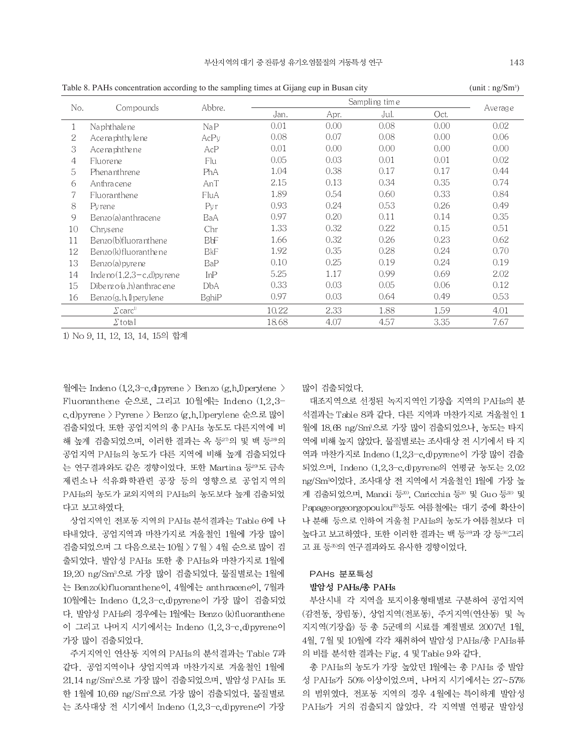$(nnit : n\sigma/Sm^3)$ 

|     |                                | O.           |       |      |               |      | O.                |
|-----|--------------------------------|--------------|-------|------|---------------|------|-------------------|
| No. | Compounds                      | Abbre.       |       |      | Sampling time |      |                   |
|     |                                |              | Jan.  | Apr. | Jul.          | Oct. | Ave rage          |
|     | Naphthalene                    | NaP          | 0.01  | 0.00 | 0.08          | 0.00 | 0.02              |
| 2   | Ace na phthy le ne             | AcPy         | 0.08  | 0.07 | 0.08          | 0.00 | 0.06              |
| 3   | Acenaphthene                   | AcP          | 0.01  | 0.00 | 0.00          | 0.00 | 0.00              |
| 4   | Fluore ne                      | Flu          | 0.05  | 0.03 | 0.01          | 0.01 | 0.02 <sub>1</sub> |
| 5   | Phenanthrene                   | PhA          | 1.04  | 0.38 | 0.17          | 0.17 | 0.44              |
| 6   | Anthracene                     | AnT          | 2.15  | 0.13 | 0.34          | 0.35 | 0.74              |
|     | Fluoranthene                   | FluA         | 1.89  | 0.54 | 0.60          | 0.33 | 0.84              |
| 8   | Pyrene                         | Pyr          | 0.93  | 0.24 | 0.53          | 0.26 | 0.49              |
| 9   | Benzo(a) anthracene            | BaA          | 0.97  | 0.20 | 0.11          | 0.14 | 0.35              |
| 10  | Chrysene                       | Chr          | 1.33  | 0.32 | 0.22          | 0.15 | 0.51              |
| 11  | Benzo(b)fluoranthene           | ВbF          | 1.66  | 0.32 | 0.26          | 0.23 | 0.62              |
| 12  | Benzo(k)fluoranthene           | <b>BkF</b>   | 1.92  | 0.35 | 0.28          | 0.24 | 0.70              |
| 13  | Benzo(a) pyrene                | BaP          | 0.10  | 0.25 | 0.19          | 0.24 | 0.19              |
| 14  | Indeno $(1,2,3-c,d)$ pyrene    | InP          | 5.25  | 1.17 | 0.99          | 0.69 | 2.02              |
| 15  | Dibenzo $(a,h)$ anthracene     | DbA          | 0.33  | 0.03 | 0.05          | 0.06 | 0.12              |
| 16  | Benzo(g, h, I) pery lene       | <b>BghiP</b> | 0.97  | 0.03 | 0.64          | 0.49 | 0.53              |
|     | $\varSigma$ carc <sup>1)</sup> |              | 10.22 | 2.33 | 1.88          | 1.59 | 4.01              |
|     | $\Sigma$ total                 |              | 18.68 | 4.07 | 4.57          | 3.35 | 7.67              |

Table 8. PAHs concentration according to the sampling times at Gijang eup in Busan city

1) No 9, 11, 12, 13, 14, 15의 합계

월에는 Indeno  $(1,2,3$ -c, dpyrene > Benzo  $(g,h,I)$ perylene > Fluoranthene 순으로, 그리고 10월에는 Indeno (1,2,3c,d)pyrene > Pyrene > Benzo (g,h,I)perylene 순으로 많이 검출되었다. 또한 공업지역의 총 PAHs 농도도 다른지역에 비 해 높게 검출되었으며, 이러한 결과는 옥 등20의 및 백 등20의 공업지역 PAHs의 농도가 다른 지역에 비해 높게 검출되었다 는 연구결과와도 같은 경향이었다. 또한 Martina 등299도 금속 제련소나 석유화학관련 공장 등의 영향으로 공업지역의 PAHs의 농도가 교외지역의 PAHs의 농도보다 높게 검출되었 다고 보고하였다.

상업지역인 전포동 지역의 PAHs 분석결과는 Table 6에 나 타내었다. 공업지역과 마찬가지로 겨울철인 1월에 가장 많이 검출되었으며 그 다음으로는 10월 > 7월 > 4월 순으로 많이 검 출되었다. 발암성 PAHs 또한 총 PAHs와 마찬가지로 1월에 19.20 ng/Sm3으로 가장 많이 검출되었다. 물질별로는 1월에 는 Benzo(k)fluoranthene이. 4월에는 anthracene이. 7월과 10월에는 Indeno (1,2,3-c,d)pyrene이 가장 많이 검출되었 다. 발암성 PAHs의 경우에는 1월에는 Benzo (k) fluoranthene 이 그리고 나머지 시기에서는 Indeno (1.2.3-c.d)pyrene이 가장 많이 검출되었다.

주거지역인 연산동 지역의 PAHs의 분석결과는 Table 7과 같다. 공업지역이나 상업지역과 마찬가지로 겨울철인 1월에 21.14 ng/Sm3으로 가장 많이 검출되었으며, 발암성 PAHs 또 한 1월에 10.69 ng/Sm3으로 가장 많이 검출되었다. 물질별로 는 조사대상 전 시기에서 Indeno (1,2,3-c,d)pyrene이 가장 많이 검출되었다.

대조지역으로 선정된 녹지지역인 기장읍 지역의 PAHs의 분 석결과는 Table 8과 같다. 다른 지역과 마찬가지로 겨울철인 1 월에 18.68 ng/Sm2으로 가장 많이 검출되었으나, 농도는 타지 역에 비해 높지 않았다. 물질별로는 조사대상 전 시기에서 타 지 역과 마찬가지로 Indeno (1,2,3-c,d)pyrene이 가장 많이 검출 되었으며, Indeno (1,2,3-c,d)pyrene의 연평균 농도는 2.02 ng/Sm3이었다. 조사대상 전 지역에서 겨울철인 1월에 가장 높 게 검출되었으며, Manoli 등30, Caricchia 등30 및 Guo 등30 및 Papageorgeorgopoulou<sup>30</sup>등도 여름철에는 대기 중에 확산이 나 분해 등으로 인하여 겨울철 PAHs의 농도가 여름철보다 더 높다고 보고하였다. 또한 이러한 결과는 백 등28과 강 등30그리 고 표 등 의 연구결과와도 유사한 경향이었다.

# PAHs 분포특성 발암성 PAHs/총 PAHs

부산시내 각 지역을 토지이용형태별로 구분하여 공업지역 (감전동, 장림동), 상업지역(전포동), 주거지역(연산동) 및 녹 지지역(기장읍) 등 총 5군데의 시료를 계절별로 2007년 1월. 4월, 7월 및 10월에 각각 채취하여 발암성 PAHs/총 PAHs류 의 비를 분석한 결과는 Fig. 4 및 Table 9와 같다.

총 PAHs의 농도가 가장 높았던 1월에는 총 PAHs 중 발암 성 PAHs가 50% 이상이었으며, 나머지 시기에서는 27~57% 의 범위였다. 전포동 지역의 경우 4월에는 특이하게 발암성 PAHs가 거의 검출되지 않았다. 각 지역별 연평균 발암성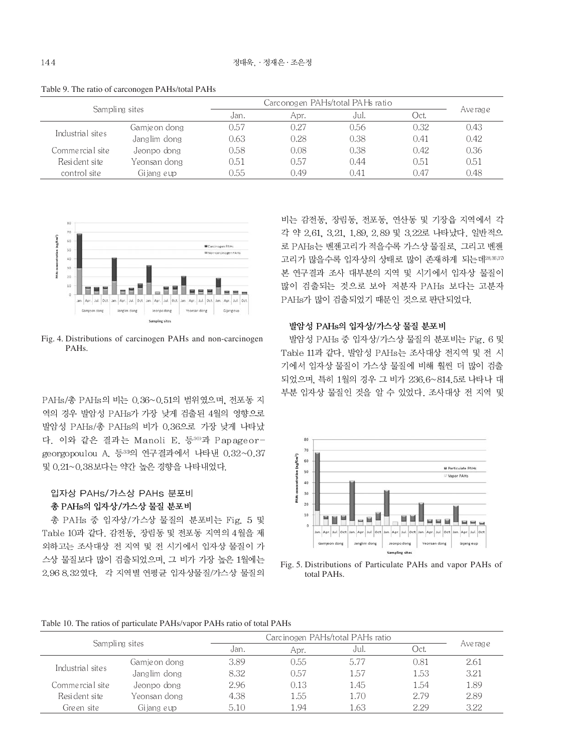| Sampling sites   |               | Carconogen PAHs/total PAHs ratio |      |      |      |           |
|------------------|---------------|----------------------------------|------|------|------|-----------|
|                  |               | Jan.                             | Apr. | Jul. | Oct. | Ave rag e |
|                  | Gamje on dong | 0.57                             | 0.27 | 0.56 | 0.32 | 0.43      |
| Industrial sites | Janglim dong  | 0.63                             | 0.28 | 0.38 | 0.41 | 0.42      |
| Commercial site  | Jeonpo dong   | 0.58                             | 0.08 | 0.38 | 0.42 | 0.36      |
| Resident site    | Yeonsan dong  | 0.51                             | 0.57 | 0.44 | 0.51 | 0.51      |
| control site     | Gijang eup    | 1.55                             | 0.49 | 0.41 | 0.47 | 0.48      |

Table 9. The ratio of carconogen PAHs/total PAHs



Fig. 4. Distributions of carcinogen PAHs and non-carcinogen PAHs.

PAHs/총 PAHs의 비는 0.36~0.51의 범위였으며, 전포동 지 역의 경우 발암성 PAHs가 가장 낮게 검출된 4월의 영향으로 발암성 PAHs/총 PAHs의 비가 0.36으로 가장 낮게 나타났 다. 이와 같은 결과는 Manoli E. 등30)과 Papageorgeorgopoulou A. 등33의 연구결과에서 나타낸 0.32~0.37 및 0.21~0.38보다는 약간 높은 경향을 나타내었다.

# 입자상 PAHs/가스상 PAHs 분포비 총 PAHs의 입자상/가스상 물질 분포비

총 PAHs 중 입자상/가스상 물질의 분포비는 Fig. 5 및 Table 10과 같다. 감전동, 장림동 및 전포동 지역의 4월을 제 외하고는 조사대상 전 지역 및 전 시기에서 입자상 물질이 가 스상 물질보다 많이 검출되었으며, 그 비가 가장 높은 1월에는 2.96 8.32 였다. 각 지역별 연평균 입자상물질/가스상 물질의 비는 감전동, 장림동, 전포동, 연산동 및 기장읍 지역에서 각 각 약 2.61, 3.21, 1.89, 2.89 및 3.22로 나타났다. 일반적으 로 PAHs는 벤젠고리가 적을수록 가스상 물질로, 그리고 벤젠 고리가 많을수록 입자상의 상태로 많이 존재하게 되는데28.36,37 본 연구결과 조사 대부분의 지역 및 시기에서 입자상 물질이 많이 검출되는 것으로 보아 저분자 PAHs 보다는 고분자 PAHs가 많이 검출되었기 때문인 것으로 판단되었다.

# 발암성 PAHs의 입자상/가스상 물질 분포비

발암성 PAHs 중 입자상/가스상 물질의 분포비는 Fig. 6 및 Table 11과 같다. 발암성 PAHs는 조사대상 전지역 및 전 시 기에서 입자상 물질이 가스상 물질에 비해 훨씬 더 많이 검출 되었으며, 특히 1월의 경우 그 비가 236.6~814.5로 나타나 대 부분 입자상 물질인 것을 알 수 있었다. 조사대상 전 지역 및



Fig. 5. Distributions of Particulate PAHs and vapor PAHs of total PAHs.

Table 10. The ratios of particulate PAHs/vapor PAHs ratio of total PAHs

| Sampling sites   |               |      | Carcinogen PAHs/total PAHs ratio |      |      |           |
|------------------|---------------|------|----------------------------------|------|------|-----------|
|                  |               | Jan. | Apr.                             | Jul. | Oct. | Ave rag e |
| Industrial sites | Gamje on dong | 3.89 | 0.55                             | 5.77 | 0.81 | 2.61      |
|                  | Janglim dong  | 8.32 | 0.57                             | 1.57 | 1.53 | 3.21      |
| Commercial site  | Jeonpo dong   | 2.96 | 0.13                             | 1.45 | 1.54 | 1.89      |
| Resident site    | Yeonsan dong- | 4.38 | 1.55                             | 1.70 | 2.79 | 2.89      |
| Green site       | Gijang eup    | 5.10 | .94                              | 1.63 | 2.29 | 3.22      |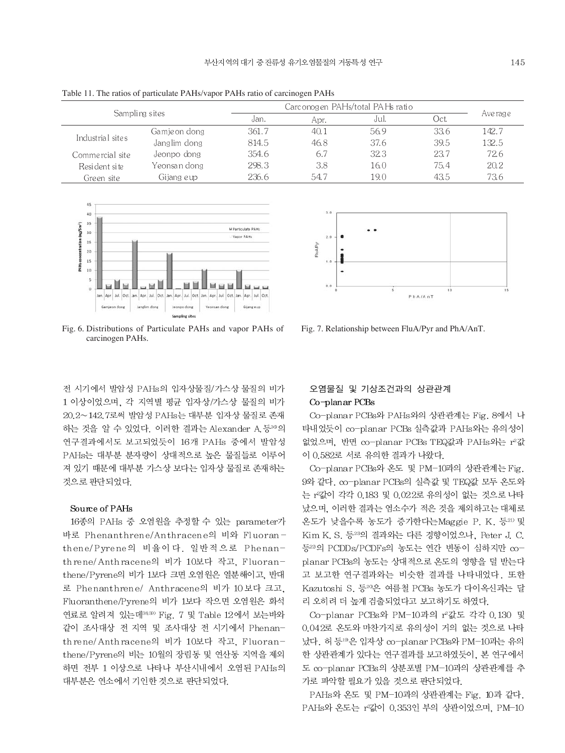| Table 11. The ratios of particulate PAHs/vapor PAHs ratio of carcinogen PAHs |                               |                                   |      |      |       |           |  |  |  |  |
|------------------------------------------------------------------------------|-------------------------------|-----------------------------------|------|------|-------|-----------|--|--|--|--|
| Sampling sites                                                               |                               | Carc onogen PAHs/total PAHs ratio |      |      |       |           |  |  |  |  |
|                                                                              |                               | Jan.                              | Apr. | Jul. | Oct.  | Ave rag e |  |  |  |  |
|                                                                              | Gamje on dong                 | 361.7                             | 40.1 | 56.9 | 33.6  | 142.7     |  |  |  |  |
| Industrial sites                                                             | Janglim dong<br>46.8<br>814.5 |                                   | 37.6 | 39.5 | 132.5 |           |  |  |  |  |
| Commercial site                                                              | Jeonpo dong                   | 354.6                             | 6.7  | 32.3 | 23.7  | 72.6      |  |  |  |  |
| Resident site                                                                | Yeonsan dong                  | 298.3                             | 3.8  | 16.0 | 75.4  | 20.2      |  |  |  |  |
| Green site                                                                   | Gijang eup                    | 236.6                             | 54.7 | 19.0 | 43.5  | 73.6      |  |  |  |  |



Fig. 6. Distributions of Particulate PAHs and vapor PAHs of carcinogen PAHs.

전 시기에서 발암성 PAHs의 입자상물질/가스상 물질의 비가 1 이상이었으며, 각 지역별 평균 입자상/가스상 물질의 비가 20.2~142.7로써 발암성 PAHs는 대부분 입자상 물질로 존재 하는 것을 알 수 있었다. 이러한 결과는 Alexander A. 등36의 연구결과에서도 보고되었듯이 16개 PAHs 중에서 발암성 PAHs는 대부분 분자량이 상대적으로 높은 물질들로 이루어 져 있기 때문에 대부분 가스상 보다는 입자상 물질로 존재하는 것으로 판단되었다.

#### Source of PAHs

16종의 PAHs 중 오염원을 추정할 수 있는 parameter가 바로 Phenanthrene/Anthracene의 비와 Fluoranthene/Pyrene의 비율이다. 일반적으로 Phenanthrene/Anthracene의 비가 10보다 작고, Fluoranthene/Pyrene의 비가 1보다 크면 오염원은 열분해이고, 반대 로 Phenanthrene/ Anthracene의 비가 10보다 크고, Fluoranthene/Pyrene의 비가 1보다 작으면 오염원은 화석 연료로 알려져 있는데3839 Fig. 7 및 Table 12에서 보는바와 같이 조사대상 전 지역 및 조사대상 전 시기에서 Phenanthrene/Anthracene의 비가 10보다 작고, Fluoranthene/Pyrene의 비는 10월의 장림동 및 연산동 지역을 제외 하면 전부 1 이상으로 나타나 부산시내에서 오염된 PAHs의 대부분은 연소에서 기인한 것으로 판단되었다.



Fig. 7. Relationship between FluA/Pyr and PhA/AnT.

# 오염물질 및 기상조건과의 상관관계 Co-planar PCBs

Co-planar PCBs와 PAHs와의 상관관계는 Fig. 8에서 나 타내었듯이 co-planar PCBs 실측값과 PAHs와는 유의성이 없었으며, 반면 co-planar PCBs TEQ값과 PAHs와는 r2값 이 0.582로 서로 유의한 결과가 나왔다.

Co-planar PCBs와 온도 및 PM-10과의 상관관계는 Fig. 9와 같다. co-planar PCBs의 실측값 및 TEQ값 모두 온도와 는 r 값이 각각 0.183 및 0.022로 유의성이 없는 것으로 나타 났으며, 이러한 결과는 염소수가 적은 것을 제외하고는 대체로 온도가 낮을수록 농도가 증가한다는 Maggie P. K. 등21) 및 Kim K, S, 등23의 결과와는 다른 경향이었으나, Peter J, C, 등22의 PCDDs/PCDFs의 농도는 연간 변동이 심하지만 coplanar PCBs의 농도는 상대적으로 온도의 영향을 덜 받는다 고 보고한 연구결과와는 비슷한 결과를 나타내었다. 또한 Kazutoshi S. 등<sup>20</sup>은 여름철 PCBs 농도가 다이옥신과는 달 리 오히려 더 높게 검출되었다고 보고하기도 하였다.

Co-planar PCBs와 PM-10과의 r2값도 각각 0.130 및 0.042로 온도와 마찬가지로 유의성이 거의 없는 것으로 나타 났다. 허 등 <sup>19</sup>은 입자상 co-planar PCBs와 PM-10과는 유의 한 상관관계가 있다는 연구결과를 보고하였듯이, 본 연구에서 도 co-planar PCBs의 상분포별 PM-10과의 상관관계를 추 가로 파악할 필요가 있을 것으로 판단되었다.

PAHs와 온도 및 PM-10과의 상관관계는 Fig. 10과 같다. PAHs와 온도는 r 값이 0.353인 부의 상관이었으며, PM-10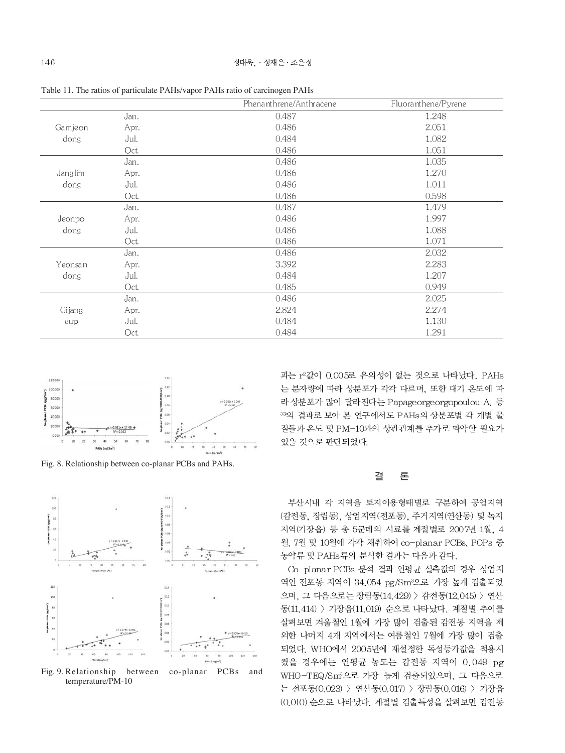|                        |      | Phenanthrene/Anthracene | Fluoranthene/Pyrene |
|------------------------|------|-------------------------|---------------------|
|                        | Jan. | 0.487                   | 1.248               |
| Gamjeon<br>dong        | Apr. | 0.486                   | 2.051               |
|                        | Jul. | 0.484                   | 1.082               |
|                        | Oct. | 0.486                   | 1.051               |
| <b>Janglim</b><br>dong | Jan. | 0.486                   | 1.035               |
|                        | Apr. | 0.486                   | 1.270               |
|                        | Jul. | 0.486                   | 1.011               |
|                        | Oct. | 0.486                   | 0.598               |
| Jeonpo<br>dong         | Jan. | 0.487                   | 1.479               |
|                        | Apr. | 0.486                   | 1.997               |
|                        | Jul. | 0.486                   | 1.088               |
|                        | Oct. | 0.486                   | 1.071               |
| Yeonsan<br>dong        | Jan. | 0.486                   | 2.032               |
|                        | Apr. | 3.392                   | 2.283               |
|                        | Jul. | 0.484                   | 1.207               |
|                        | Oct. | 0.485                   | 0.949               |
| Gijang<br>eup          | Jan. | 0.486                   | 2.025               |
|                        | Apr. | 2.824                   | 2.274               |
|                        | Jul. | 0.484                   | 1.130               |
|                        | Oct. | 0.484                   | 1.291               |

Table 11. The ratios of particulate PAHs/vapor PAHs ratio of carcinogen PAHs



Fig. 8. Relationship between co-planar PCBs and PAHs.



Fig. 9. Relationship between co-planar PCBs and temperature/PM-10

과는 r2값이 0.005로 유의성이 없는 것으로 나타났다. PAHs 는 분자량에 따라 상분포가 각각 다르며, 또한 대기 온도에 따 라 상분포가 많이 달라진다는 Papageorgeorgopoulou A. 등 33의 결과로 보아 본 연구에서도 PAHs의 상분포별 각 개별 물 질들과 온도 및 PM-10과의 상관관계를 추가로 파악할 필요가 있을 것으로 판단되었다.

#### 론 결

부산시내 각 지역을 토지이용형태별로 구분하여 공업지역 (감전동, 장림동), 상업지역(전포동), 주거지역(연산동) 및 녹지 지역(기장읍) 등 총 5군데의 시료를 계절별로 2007년 1월, 4 월, 7월 및 10월에 각각 채취하여 co-planar PCBs, POPs 중 농약류 및 PAHs류의 분석한 결과는 다음과 같다.

Co-planar PCBs 분석 결과 연평균 실측값의 경우 상업지 역인 전포동 지역이 34.054 pg/Sm3으로 가장 높게 검출되었 으며, 그 다음으로는 장림동(14.429) > 감전동(12.045) > 연산 동(11.414) > 기장읍(11.019) 순으로 나타났다. 계절별 추이를 살펴보면 겨울철인 1월에 가장 많이 검출된 감전동 지역을 제 외한 나머지 4개 지역에서는 여름철인 7월에 가장 많이 검출 되었다. WHO에서 2005년에 재설정한 독성등가값을 적용시 켰을 경우에는 연평균 농도는 감전동 지역이 0.049 pg WHO-TEQ/Sm2으로 가장 높게 검출되었으며, 그 다음으로 는 전포동(0.023) > 연산동(0.017) > 장림동(0.016) > 기장읍 (0.010) 순으로 나타났다. 계절별 검출특성을 살펴보면 감전동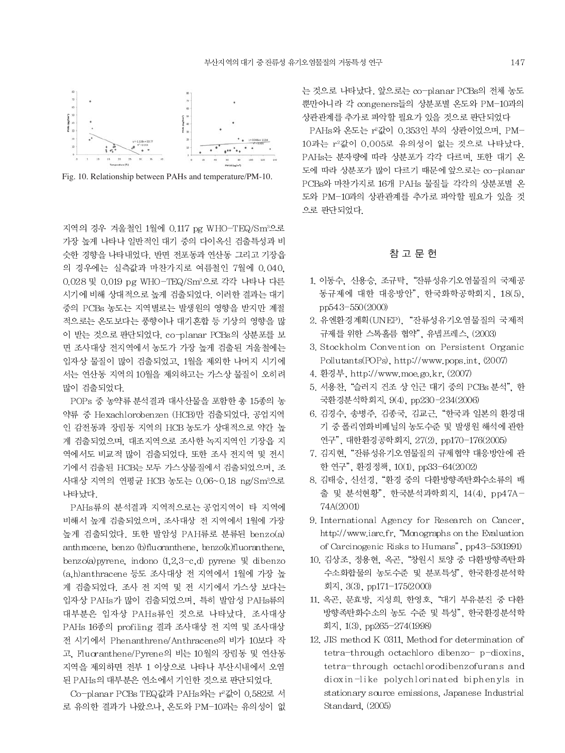

Fig. 10. Relationship between PAHs and temperature/PM-10.

지역의 경우 겨울철인 1월에 0.117 pg WHO-TEQ/Sm<sup>3</sup>으로 가장 높게 나타나 일반적인 대기 중의 다이옥신 검출특성과 비 슷한 경향을 나타내었다. 반면 전포동과 연산동 그리고 기장읍 의 경우에는 실측값과 마찬가지로 여름철인 7월에 0.040. 0.028 및 0.019 pg WHO-TEQ/Sm<sup>3</sup>으로 각각 나타나 다른 시기에 비해 상대적으로 높게 검출되었다. 이러한 결과는 대기 중의 PCBs 농도는 지역별로는 발생원의 영향을 받지만 계절 적으로는 온도보다는 풍향이나 대기혼합 등 기상의 영향을 많 이 받는 것으로 판단되었다. co-planar PCBs의 상분포를 보 면 조사대상 전지역에서 농도가 가장 높게 검출된 겨울철에는 입자상 물질이 많이 검출되었고, 1월을 제외한 나머지 시기에 서는 연산동 지역의 10월을 제외하고는 가스상 물질이 오히려 많이 검출되었다.

POPs 중 농약류 분석결과 대사산물을 포함한 총 15종의 농 약류 중 Hexachlorobenzen (HCB)만 검출되었다. 공업지역 인 감전동과 장림동 지역의 HCB 농도가 상대적으로 약간 높 게 검출되었으며, 대조지역으로 조사한 녹지지역인 기장읍 지 역에서도 비교적 많이 검출되었다. 또한 조사 전지역 및 전시 기에서 검출된 HCB는 모두 가스상물질에서 검출되었으며, 조 사대상 지역의 연평균 HCB 농도는 0.06~0.18 ng/Sm3으로 나타났다.

PAHs류의 분석결과 지역적으로는 공업지역이 타 지역에 비해서 높게 검출되었으며, 조사대상 전 지역에서 1월에 가장 높게 검출되었다. 또한 발암성 PAH류로 분류된 benzo(a) anthracene, benzo (b)fluoranthene, benzo(k)fluoranthene. benzo(a) pyrene, indono  $(1,2,3-c,d)$  pyrene  $\mathbb{R}$  dibenzo (a,h)anthracene 등도 조사대상 전 지역에서 1월에 가장 높 게 검출되었다. 조사 전 지역 및 전 시기에서 가스상 보다는 입자상 PAHs가 많이 검출되었으며, 특히 발암성 PAHs류의 대부분은 입자상 PAHs류인 것으로 나타났다. 조사대상 PAHs 16종의 profiling 결과 조사대상 전 지역 및 조사대상 전 시기에서 Phenanthrene/Anthracene의 비가 10보다 작 고, Fluoranthene/Pyrene의 비는 10월의 장림동 및 연산동 지역을 제외하면 전부 1 이상으로 나타나 부산시내에서 오염 된 PAHs의 대부분은 연소에서 기인한 것으로 판단되었다.

Co-planar PCBs TEQ값과 PAHs와는 r<sup>2</sup>값이 0.582로 서 로 유의한 결과가 나왔으나, 온도와 PM-10과는 유의성이 없 는 것으로 나타났다. 앞으로는 co-planar PCBs의 전체 농도 뿐만아니라 각 congeners들의 상분포별 온도와 PM-10과의 상관관계를 추가로 파악할 필요가 있을 것으로 판단되었다

PAHs와 온도는 r2값이 0.353인 부의 상관이었으며, PM-10과는 r2값이 0.005로 유의성이 없는 것으로 나타났다. PAHs는 분자량에 따라 상분포가 각각 다르며. 또한 대기 온 도에 따라 상분포가 많이 다르기 때문에 앞으로는 co-planar PCBs와 마찬가지로 16개 PAHs 물질들 각각의 상분포별 온 도와 PM-10과의 상관관계를 추가로 파악할 필요가 있을 것 으로 판단되었다.

# 참 고 문 헌

- 1. 이동수, 신용승, 조규탁, "잔류성유기오염물질의 국제공 동규제에 대한 대응방안". 한국화학공학회지. 18(5). pp543-550(2000)
- 2. 유엔환경계획(UNEP), "잔류성유기오염물질의 국제적 규제를 위한 스톡홀름 협약", 유넵프레스. (2003)
- 3. Stockholm Convention on Persistent Organic Pollutants(POPs), http://www.pops.int, (2007)
- 4. 환경부. http://www.moe.go.kr. (2007)
- 5. 서용찬, "슬러지 건조 상 인근 대기 중의 PCBs 분석", 한 국환경분석학회지, 9(4), pp230-234(2006)
- 6. 김경수, 송병주, 김종국, 김교근, "한국과 일본의 환경대 기 중 폴리염화비페닐의 농도수준 및 발생원 해석에 관한 연구", 대한환경공학회지, 27(2), pp170-176(2005)
- 7. 김지현. "잔류성유기오염물질의 규제협약 대응방안에 관 한 연구", 환경 정책, 10(1), pp33-64(2002)
- 8. 김태승, 신선경, "환경 중의 다환방향족탄화수소류의 배 출 및 분석현황", 한국분석과학회지, 14(4), pp47A-74A(2001)
- 9. International Agency for Research on Cancer, http://www.iarc.fr, "Monographs on the Evaluation of Carcinogenic Risks to Humans", pp43-53(1991)
- 10. 김상조, 정용현, 옥곤, "창원시 토양 중 다환방향족탄화 수소화합물의 농도수준 및 분포특성", 한국환경분석학 회지, 3(3), pp171-175(2000)
- 11. 옥곤, 문효방, 지성희, 한영호, "대기 부유분진 중 다환 방향족탄화수소의 농도 수준 및 특성", 한국환경분석학 회지, 1(3), pp265-274(1998)
- 12. JIS method K 0311, Method for determination of tetra-through octachloro dibenzo- p-dioxins, tetra-through octachlorodibenzofurans and dioxin-like polychlorinated biphenyls in stationary source emissions, Japanese Industrial Standard, (2005)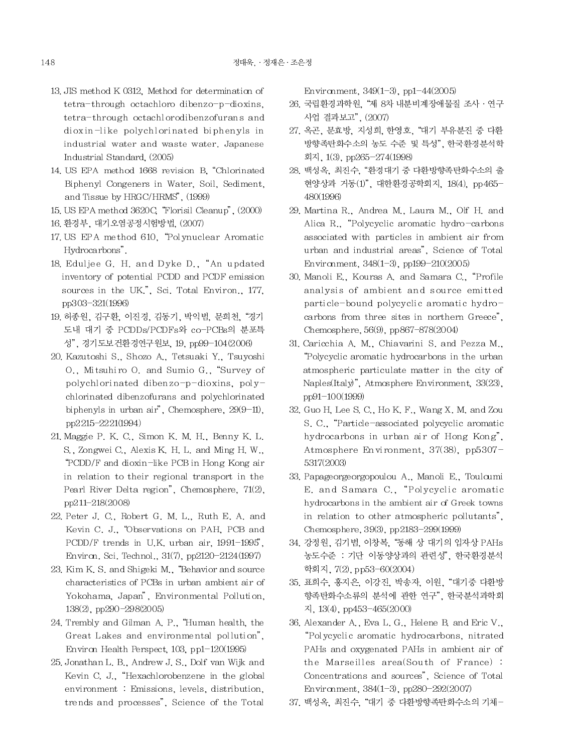- 13. JIS method K 0312. Method for determination of tetra-through octachloro dibenzo-p-dioxins, tetra-through octachlorodibenzofurans and dioxin-like polychlorinated biphenyls in industrial water and waste water. Japanese Industrial Standard, (2005)
- 14. US EPA method 1668 revision B. "Chlorinated Biphenyl Congeners in Water, Soil, Sediment, and Tissue by HRGC/HRMS", (1999)
- 15. US EPA method 3620C. "Florisil Cleanup", (2000)
- 16. 환경부, 대기오염공정시험방법, (2007)
- 17. US EPA method 610, "Polynuclear Aromatic Hydrocarbons".
- 18. Eduljee G. H. and Dyke D., "An updated inventory of potential PCDD and PCDF emission sources in the UK.", Sci. Total Environ., 177, pp303-321(1996)
- 19. 허종원, 김구환, 이진경, 김동기, 박익범, 문희천, "경기 도내 대기 중 PCDDs/PCDFs와 co-PCBs의 분포특 성", 경기도보건환경연구원보, 19, pp99-104(2006)
- 20. Kazutoshi S., Shozo A., Tetsuaki Y., Tsuyoshi O., Mitsuhiro O. and Sumio G., "Survey of polychlorinated dibenzo-p-dioxins, polychlorinated dibenzofurans and polychlorinated biphenyls in urban air", Chemosphere,  $29(9-11)$ , pp2215-2221(1994)
- 21. Maggie P. K. C., Simon K. M. H., Benny K. L. S., Zongwei C., Alexis K. H. L. and Ming H. W., "PCDD/F and dioxin-like PCB in Hong Kong air in relation to their regional transport in the Pearl River Delta region", Chemosphere, 71(2), pp211-218(2008)
- 22. Peter J. C., Robert G. M. L., Ruth E. A. and Kevin C. J., "Observations on PAH, PCB and PCDD/F trends in U.K. urban air, 1991-1995', Environ, Sci. Technol., 31(7), pp2120-2124(1997)
- 23. Kim K, S, and Shigeki M, "Behavior and source" characteristics of PCBs in urban ambient air of Yokohama, Japan", Environmental Pollution, 138(2), pp290-298(2005)
- 24. Trembly and Gilman A. P., "Human health, the Great Lakes and environmental pollution", Environ Health Perspect,  $103$ , pp1- $120(1995)$
- 25. Jonathan L. B., Andrew J. S., Dolf van Wijk and Kevin C. J., "Hexachlorobenzene in the global environment : Emissions, levels, distribution, trends and processes", Science of the Total

Environment,  $349(1-3)$ , pp1-44(2005)

- 26. 국립환경과학원, "제 8차 내분비계장애물질 조사 · 연구 사업 결과보고", (2007)
- 27. 옥곤, 문효방, 지성희, 한영호, "대기 부유분진 중 다환 방향족탄화수소의 농도 수준 및 특성", 한국환경분석학 회지, 1(3), pp265-274(1998)
- 28. 백성옥, 최진수, "환경대기 중 다환방향족탄화수소의 출 현양상과 거동(1)", 대한환경공학회지, 18(4), pp465-480(1996)
- 29. Martina R., Andrea M., Laura M., Olf H. and Alica R., "Polycyclic aromatic hydro-carbons associated with particles in ambient air from urban and industrial areas". Science of Total Environment,  $348(1-3)$ , pp199-210(2005)
- 30. Manoli E., Kouras A. and Samara C., "Profile analysis of ambient and source emitted particle-bound polycyclic aromatic hydrocarbons from three sites in northern Greece", Chemosphere, 56(9), pp867-878(2004)
- 31. Caricchia A. M., Chiavarini S. and Pezza M., "Polycyclic aromatic hydrocarbons in the urban atmospheric particulate matter in the city of Naples(Italy)", Atmosphere Environment, 33(23), pp91-100(1999)
- 32. Guo H, Lee S. C., Ho K. F., Wang X. M. and Zou S. C., "Particle-associated polycyclic aromatic hydrocarbons in urban air of Hong Kong", Atmosphere Environment, 37(38), pp5307-5317(2003)
- 33. Papageorgeorgopoulou A., Manoli E., Touloumi E. and Samara C., "Polycyclic aromatic hydrocarbons in the ambient air of Greek towns in relation to other atmospheric pollutants", Chemosphere, 39(3), pp2183-299(1999)
- 34. 강정원, 김기범, 이창복, "동해 상 대기의 입자상 PAHs 농도수준 : 기단 이동양상과의 관련성", 한국환경분석 학회지, 7(2), pp53-60(2004)
- 35. 표희수, 홍지은, 이강진, 박송자, 이원, "대기중 다환방 향족탄화수소류의 분석에 관한 연구", 한국분석과학회  $\lambda$ , 13(4), pp453-465(2000)
- 36. Alexander A., Eva L. G., Helene B. and Eric V., "Polycyclic aromatic hydrocarbons, nitrated PAHs and oxygenated PAHs in ambient air of the Marseilles area(South of France): Concentrations and sources", Science of Total Environment, 384(1-3), pp280-292(2007)
- 37. 백성옥, 최진수, "대기 중 다환방향족탄화수소의 기체-